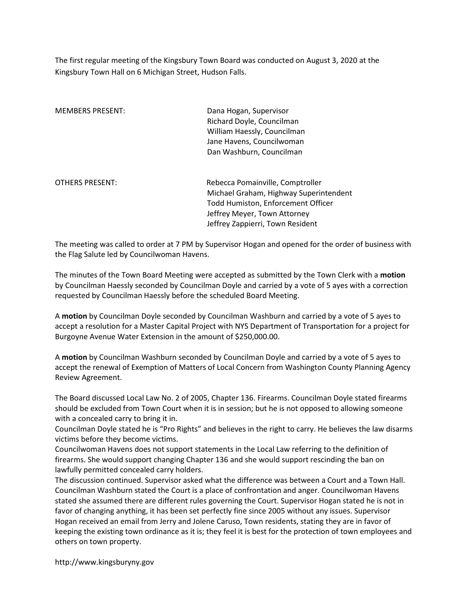The first regular meeting of the Kingsbury Town Board was conducted on August 3, 2020 at the Kingsbury Town Hall on 6 Michigan Street, Hudson Falls.

| <b>MEMBERS PRESENT:</b> | Dana Hogan, Supervisor                 |
|-------------------------|----------------------------------------|
|                         | Richard Doyle, Councilman              |
|                         | William Haessly, Councilman            |
|                         | Jane Havens, Councilwoman              |
|                         | Dan Washburn, Councilman               |
| <b>OTHERS PRESENT:</b>  | Rebecca Pomainville, Comptroller       |
|                         | Michael Graham, Highway Superintendent |
|                         | Todd Humiston, Enforcement Officer     |
|                         | Jeffrey Meyer, Town Attorney           |
|                         | Jeffrey Zappierri, Town Resident       |
|                         |                                        |

The meeting was called to order at 7 PM by Supervisor Hogan and opened for the order of business with the Flag Salute led by Councilwoman Havens.

The minutes of the Town Board Meeting were accepted as submitted by the Town Clerk with a motion by Councilman Haessly seconded by Councilman Doyle and carried by a vote of 5 ayes with a correction requested by Councilman Haessly before the scheduled Board Meeting.

A motion by Councilman Doyle seconded by Councilman Washburn and carried by a vote of 5 ayes to accept a resolution for a Master Capital Project with NYS Department of Transportation for a project for Burgoyne Avenue Water Extension in the amount of \$250,000.00.

A motion by Councilman Washburn seconded by Councilman Doyle and carried by a vote of 5 ayes to accept the renewal of Exemption of Matters of Local Concern from Washington County Planning Agency Review Agreement.

The Board discussed Local Law No. 2 of 2005, Chapter 136. Firearms. Councilman Doyle stated firearms should be excluded from Town Court when it is in session; but he is not opposed to allowing someone with a concealed carry to bring it in.

Councilman Doyle stated he is "Pro Rights" and believes in the right to carry. He believes the law disarms victims before they become victims.

Councilwoman Havens does not support statements in the Local Law referring to the definition of firearms. She would support changing Chapter 136 and she would support rescinding the ban on lawfully permitted concealed carry holders.

The discussion continued. Supervisor asked what the difference was between a Court and a Town Hall. Councilman Washburn stated the Court is a place of confrontation and anger. Councilwoman Havens stated she assumed there are different rules governing the Court. Supervisor Hogan stated he is not in favor of changing anything, it has been set perfectly fine since 2005 without any issues. Supervisor Hogan received an email from Jerry and Jolene Caruso, Town residents, stating they are in favor of keeping the existing town ordinance as it is; they feel it is best for the protection of town employees and others on town property.

http://www.kingsburyny.gov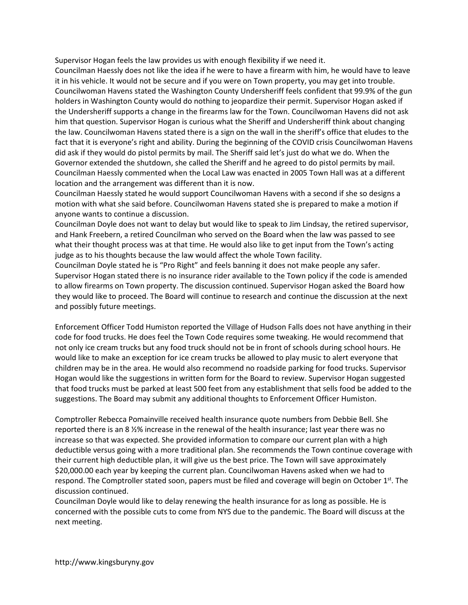Supervisor Hogan feels the law provides us with enough flexibility if we need it.

Councilman Haessly does not like the idea if he were to have a firearm with him, he would have to leave it in his vehicle. It would not be secure and if you were on Town property, you may get into trouble. Councilwoman Havens stated the Washington County Undersheriff feels confident that 99.9% of the gun holders in Washington County would do nothing to jeopardize their permit. Supervisor Hogan asked if the Undersheriff supports a change in the firearms law for the Town. Councilwoman Havens did not ask him that question. Supervisor Hogan is curious what the Sheriff and Undersheriff think about changing the law. Councilwoman Havens stated there is a sign on the wall in the sheriff's office that eludes to the fact that it is everyone's right and ability. During the beginning of the COVID crisis Councilwoman Havens did ask if they would do pistol permits by mail. The Sheriff said let's just do what we do. When the Governor extended the shutdown, she called the Sheriff and he agreed to do pistol permits by mail. Councilman Haessly commented when the Local Law was enacted in 2005 Town Hall was at a different location and the arrangement was different than it is now.

Councilman Haessly stated he would support Councilwoman Havens with a second if she so designs a motion with what she said before. Councilwoman Havens stated she is prepared to make a motion if anyone wants to continue a discussion.

Councilman Doyle does not want to delay but would like to speak to Jim Lindsay, the retired supervisor, and Hank Freebern, a retired Councilman who served on the Board when the law was passed to see what their thought process was at that time. He would also like to get input from the Town's acting judge as to his thoughts because the law would affect the whole Town facility.

Councilman Doyle stated he is "Pro Right" and feels banning it does not make people any safer. Supervisor Hogan stated there is no insurance rider available to the Town policy if the code is amended to allow firearms on Town property. The discussion continued. Supervisor Hogan asked the Board how they would like to proceed. The Board will continue to research and continue the discussion at the next and possibly future meetings.

Enforcement Officer Todd Humiston reported the Village of Hudson Falls does not have anything in their code for food trucks. He does feel the Town Code requires some tweaking. He would recommend that not only ice cream trucks but any food truck should not be in front of schools during school hours. He would like to make an exception for ice cream trucks be allowed to play music to alert everyone that children may be in the area. He would also recommend no roadside parking for food trucks. Supervisor Hogan would like the suggestions in written form for the Board to review. Supervisor Hogan suggested that food trucks must be parked at least 500 feet from any establishment that sells food be added to the suggestions. The Board may submit any additional thoughts to Enforcement Officer Humiston.

Comptroller Rebecca Pomainville received health insurance quote numbers from Debbie Bell. She reported there is an 8 ½% increase in the renewal of the health insurance; last year there was no increase so that was expected. She provided information to compare our current plan with a high deductible versus going with a more traditional plan. She recommends the Town continue coverage with their current high deductible plan, it will give us the best price. The Town will save approximately \$20,000.00 each year by keeping the current plan. Councilwoman Havens asked when we had to respond. The Comptroller stated soon, papers must be filed and coverage will begin on October 1<sup>st</sup>. The discussion continued.

Councilman Doyle would like to delay renewing the health insurance for as long as possible. He is concerned with the possible cuts to come from NYS due to the pandemic. The Board will discuss at the next meeting.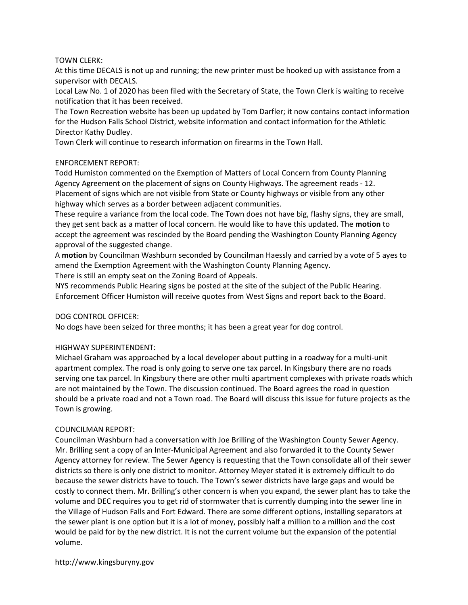### TOWN CLERK:

At this time DECALS is not up and running; the new printer must be hooked up with assistance from a supervisor with DECALS.

Local Law No. 1 of 2020 has been filed with the Secretary of State, the Town Clerk is waiting to receive notification that it has been received.

The Town Recreation website has been up updated by Tom Darfler; it now contains contact information for the Hudson Falls School District, website information and contact information for the Athletic Director Kathy Dudley.

Town Clerk will continue to research information on firearms in the Town Hall.

## ENFORCEMENT REPORT:

Todd Humiston commented on the Exemption of Matters of Local Concern from County Planning Agency Agreement on the placement of signs on County Highways. The agreement reads - 12. Placement of signs which are not visible from State or County highways or visible from any other highway which serves as a border between adjacent communities.

These require a variance from the local code. The Town does not have big, flashy signs, they are small, they get sent back as a matter of local concern. He would like to have this updated. The motion to accept the agreement was rescinded by the Board pending the Washington County Planning Agency approval of the suggested change.

A motion by Councilman Washburn seconded by Councilman Haessly and carried by a vote of 5 ayes to amend the Exemption Agreement with the Washington County Planning Agency.

There is still an empty seat on the Zoning Board of Appeals.

NYS recommends Public Hearing signs be posted at the site of the subject of the Public Hearing. Enforcement Officer Humiston will receive quotes from West Signs and report back to the Board.

# DOG CONTROL OFFICER:

No dogs have been seized for three months; it has been a great year for dog control.

### HIGHWAY SUPERINTENDENT:

Michael Graham was approached by a local developer about putting in a roadway for a multi-unit apartment complex. The road is only going to serve one tax parcel. In Kingsbury there are no roads serving one tax parcel. In Kingsbury there are other multi apartment complexes with private roads which are not maintained by the Town. The discussion continued. The Board agrees the road in question should be a private road and not a Town road. The Board will discuss this issue for future projects as the Town is growing.

### COUNCILMAN REPORT:

Councilman Washburn had a conversation with Joe Brilling of the Washington County Sewer Agency. Mr. Brilling sent a copy of an Inter-Municipal Agreement and also forwarded it to the County Sewer Agency attorney for review. The Sewer Agency is requesting that the Town consolidate all of their sewer districts so there is only one district to monitor. Attorney Meyer stated it is extremely difficult to do because the sewer districts have to touch. The Town's sewer districts have large gaps and would be costly to connect them. Mr. Brilling's other concern is when you expand, the sewer plant has to take the volume and DEC requires you to get rid of stormwater that is currently dumping into the sewer line in the Village of Hudson Falls and Fort Edward. There are some different options, installing separators at the sewer plant is one option but it is a lot of money, possibly half a million to a million and the cost would be paid for by the new district. It is not the current volume but the expansion of the potential volume.

http://www.kingsburyny.gov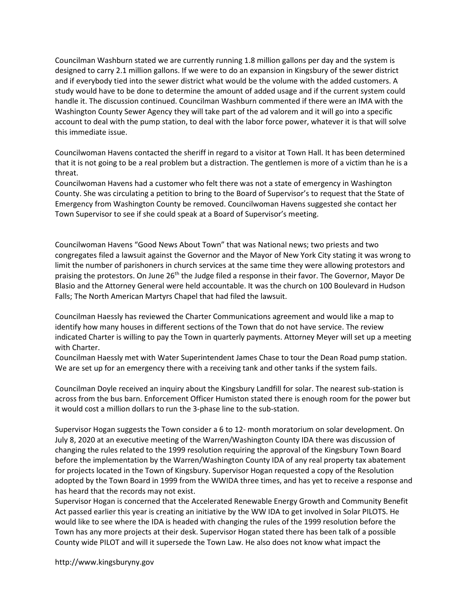Councilman Washburn stated we are currently running 1.8 million gallons per day and the system is designed to carry 2.1 million gallons. If we were to do an expansion in Kingsbury of the sewer district and if everybody tied into the sewer district what would be the volume with the added customers. A study would have to be done to determine the amount of added usage and if the current system could handle it. The discussion continued. Councilman Washburn commented if there were an IMA with the Washington County Sewer Agency they will take part of the ad valorem and it will go into a specific account to deal with the pump station, to deal with the labor force power, whatever it is that will solve this immediate issue.

Councilwoman Havens contacted the sheriff in regard to a visitor at Town Hall. It has been determined that it is not going to be a real problem but a distraction. The gentlemen is more of a victim than he is a threat.

Councilwoman Havens had a customer who felt there was not a state of emergency in Washington County. She was circulating a petition to bring to the Board of Supervisor's to request that the State of Emergency from Washington County be removed. Councilwoman Havens suggested she contact her Town Supervisor to see if she could speak at a Board of Supervisor's meeting.

Councilwoman Havens "Good News About Town" that was National news; two priests and two congregates filed a lawsuit against the Governor and the Mayor of New York City stating it was wrong to limit the number of parishoners in church services at the same time they were allowing protestors and praising the protestors. On June 26<sup>th</sup> the Judge filed a response in their favor. The Governor, Mayor De Blasio and the Attorney General were held accountable. It was the church on 100 Boulevard in Hudson Falls; The North American Martyrs Chapel that had filed the lawsuit.

Councilman Haessly has reviewed the Charter Communications agreement and would like a map to identify how many houses in different sections of the Town that do not have service. The review indicated Charter is willing to pay the Town in quarterly payments. Attorney Meyer will set up a meeting with Charter.

Councilman Haessly met with Water Superintendent James Chase to tour the Dean Road pump station. We are set up for an emergency there with a receiving tank and other tanks if the system fails.

Councilman Doyle received an inquiry about the Kingsbury Landfill for solar. The nearest sub-station is across from the bus barn. Enforcement Officer Humiston stated there is enough room for the power but it would cost a million dollars to run the 3-phase line to the sub-station.

Supervisor Hogan suggests the Town consider a 6 to 12- month moratorium on solar development. On July 8, 2020 at an executive meeting of the Warren/Washington County IDA there was discussion of changing the rules related to the 1999 resolution requiring the approval of the Kingsbury Town Board before the implementation by the Warren/Washington County IDA of any real property tax abatement for projects located in the Town of Kingsbury. Supervisor Hogan requested a copy of the Resolution adopted by the Town Board in 1999 from the WWIDA three times, and has yet to receive a response and has heard that the records may not exist.

Supervisor Hogan is concerned that the Accelerated Renewable Energy Growth and Community Benefit Act passed earlier this year is creating an initiative by the WW IDA to get involved in Solar PILOTS. He would like to see where the IDA is headed with changing the rules of the 1999 resolution before the Town has any more projects at their desk. Supervisor Hogan stated there has been talk of a possible County wide PILOT and will it supersede the Town Law. He also does not know what impact the

http://www.kingsburyny.gov